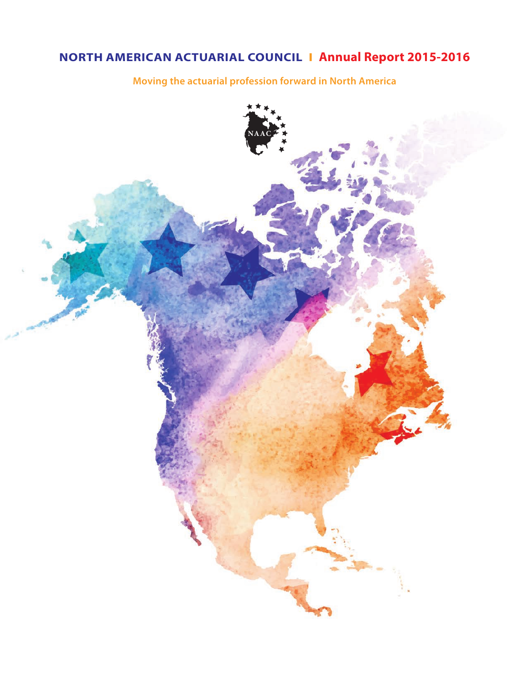# **NORTH AMERICAN ACTUARIAL COUNCIL I Annual Report 2015-2016**

**Moving the actuarial profession forward in North America**

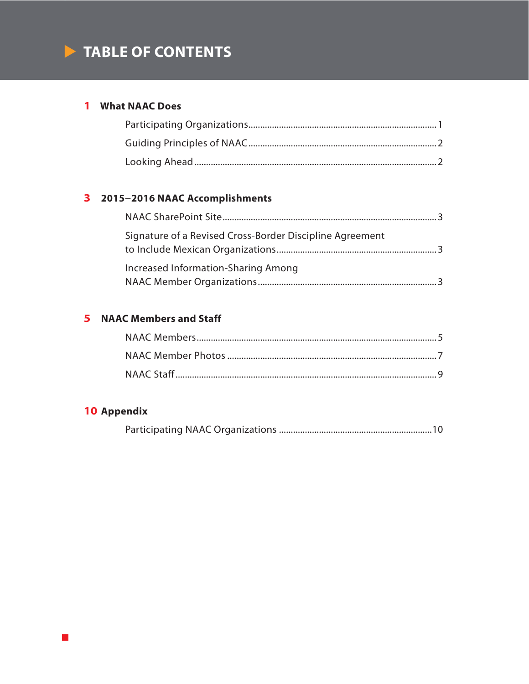# **TABLE OF CONTENTS**

# **1 What NAAC Does**

# **3 2015−2016 NAAC Accomplishments**

| - 3                                                      |  |
|----------------------------------------------------------|--|
| Signature of a Revised Cross-Border Discipline Agreement |  |
| Increased Information-Sharing Among                      |  |

# **5 NAAC Members and Staff**

# **10 Appendix**

|--|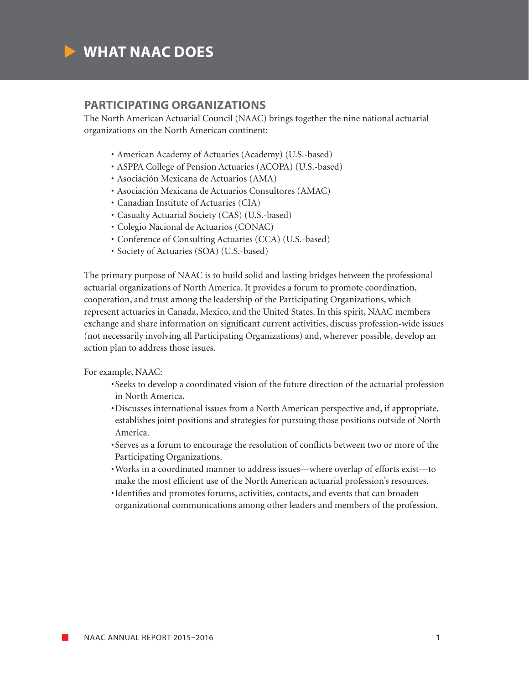

### **PARTICIPATING ORGANIZATIONS**

The North American Actuarial Council (NAAC) brings together the nine national actuarial organizations on the North American continent:

- American Academy of Actuaries (Academy) (U.S.-based)
- ASPPA College of Pension Actuaries (ACOPA) (U.S.-based)
- Asociación Mexicana de Actuarios (AMA)
- Asociación Mexicana de Actuarios Consultores (AMAC)
- Canadian Institute of Actuaries (CIA)
- Casualty Actuarial Society (CAS) (U.S.-based)
- Colegio Nacional de Actuarios (CONAC)
- Conference of Consulting Actuaries (CCA) (U.S.-based)
- Society of Actuaries (SOA) (U.S.-based)

The primary purpose of NAAC is to build solid and lasting bridges between the professional actuarial organizations of North America. It provides a forum to promote coordination, cooperation, and trust among the leadership of the Participating Organizations, which represent actuaries in Canada, Mexico, and the United States. In this spirit, NAAC members exchange and share information on significant current activities, discuss profession-wide issues (not necessarily involving all Participating Organizations) and, wherever possible, develop an action plan to address those issues.

For example, NAAC:

- •Seeks to develop a coordinated vision of the future direction of the actuarial profession in North America.
- •Discusses international issues from a North American perspective and, if appropriate, establishes joint positions and strategies for pursuing those positions outside of North America.
- •Serves as a forum to encourage the resolution of conflicts between two or more of the Participating Organizations.
- •Works in a coordinated manner to address issues—where overlap of efforts exist—to make the most efficient use of the North American actuarial profession's resources.
- •Identifies and promotes forums, activities, contacts, and events that can broaden organizational communications among other leaders and members of the profession.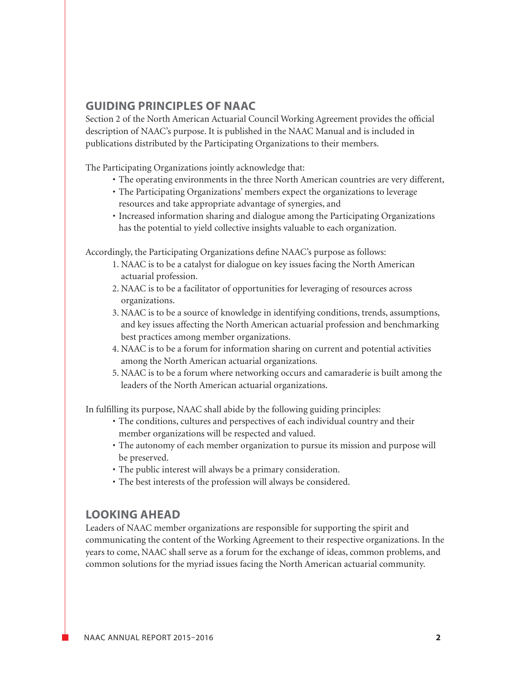# **GUIDING PRINCIPLES OF NAAC**

Section 2 of the North American Actuarial Council Working Agreement provides the official description of NAAC's purpose. It is published in the NAAC Manual and is included in publications distributed by the Participating Organizations to their members.

The Participating Organizations jointly acknowledge that:

- The operating environments in the three North American countries are very different,
- The Participating Organizations' members expect the organizations to leverage resources and take appropriate advantage of synergies, and
- Increased information sharing and dialogue among the Participating Organizations has the potential to yield collective insights valuable to each organization.

Accordingly, the Participating Organizations define NAAC's purpose as follows:

- 1. NAAC is to be a catalyst for dialogue on key issues facing the North American actuarial profession.
- 2. NAAC is to be a facilitator of opportunities for leveraging of resources across organizations.
- 3. NAAC is to be a source of knowledge in identifying conditions, trends, assumptions, and key issues affecting the North American actuarial profession and benchmarking best practices among member organizations.
- 4. NAAC is to be a forum for information sharing on current and potential activities among the North American actuarial organizations.
- 5. NAAC is to be a forum where networking occurs and camaraderie is built among the leaders of the North American actuarial organizations.

In fulfilling its purpose, NAAC shall abide by the following guiding principles:

- The conditions, cultures and perspectives of each individual country and their member organizations will be respected and valued.
- The autonomy of each member organization to pursue its mission and purpose will be preserved.
- The public interest will always be a primary consideration.
- The best interests of the profession will always be considered.

# **LOOKING AHEAD**

Leaders of NAAC member organizations are responsible for supporting the spirit and communicating the content of the Working Agreement to their respective organizations. In the years to come, NAAC shall serve as a forum for the exchange of ideas, common problems, and common solutions for the myriad issues facing the North American actuarial community.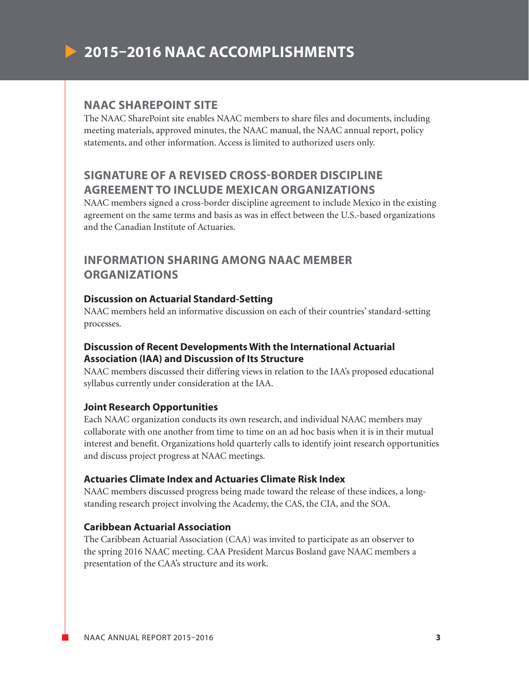

### **NAAC SHAREPOINT SITE**

The NAAC SharePoint site enables NAAC members to share files and documents, including meeting materials, approved minutes, the NAAC manual, the NAAC annual report, policy statements, and other information. Access is limited to authorized users only.

# **SIGNATURE OF A REVISED CROSS-BORDER DISCIPLINE AGREEMENT TO INCLUDE MEXICAN ORGANIZATIONS**

NAAC members signed a cross-border discipline agreement to include Mexico in the existing agreement on the same terms and basis as was in effect between the U.S.-based organizations and the Canadian Institute of Actuaries.

# **INFORMATION SHARING AMONG NAAC MEMBER ORGANIZATIONS**

### **Discussion on Actuarial Standard-Setting**

NAAC members held an informative discussion on each of their countries' standard-setting processes.

### **Discussion of Recent Developments With the International Actuarial Association (IAA) and Discussion of Its Structure**

NAAC members discussed their differing views in relation to the IAA's proposed educational syllabus currently under consideration at the IAA.

### **Joint Research Opportunities**

Each NAAC organization conducts its own research, and individual NAAC members may collaborate with one another from time to time on an ad hoc basis when it is in their mutual interest and benefit. Organizations hold quarterly calls to identify joint research opportunities and discuss project progress at NAAC meetings.

### **Actuaries Climate Index and Actuaries Climate Risk Index**

NAAC members discussed progress being made toward the release of these indices, a longstanding research project involving the Academy, the CAS, the CIA, and the SOA.

### **Caribbean Actuarial Association**

The Caribbean Actuarial Association (CAA) was invited to participate as an observer to the spring 2016 NAAC meeting. CAA President Marcus Bosland gave NAAC members a presentation of the CAA's structure and its work.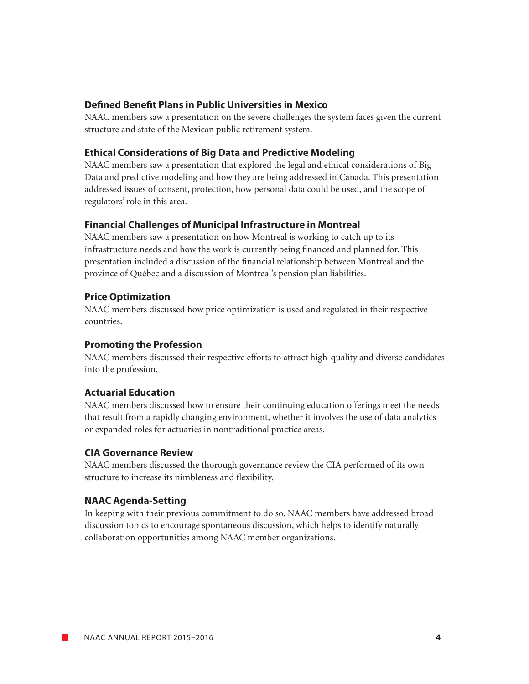### **Defined Benefit Plans in Public Universities in Mexico**

NAAC members saw a presentation on the severe challenges the system faces given the current structure and state of the Mexican public retirement system.

### **Ethical Considerations of Big Data and Predictive Modeling**

NAAC members saw a presentation that explored the legal and ethical considerations of Big Data and predictive modeling and how they are being addressed in Canada. This presentation addressed issues of consent, protection, how personal data could be used, and the scope of regulators' role in this area.

### **Financial Challenges of Municipal Infrastructure in Montreal**

NAAC members saw a presentation on how Montreal is working to catch up to its infrastructure needs and how the work is currently being financed and planned for. This presentation included a discussion of the financial relationship between Montreal and the province of Québec and a discussion of Montreal's pension plan liabilities.

### **Price Optimization**

NAAC members discussed how price optimization is used and regulated in their respective countries.

### **Promoting the Profession**

NAAC members discussed their respective efforts to attract high-quality and diverse candidates into the profession.

### **Actuarial Education**

NAAC members discussed how to ensure their continuing education offerings meet the needs that result from a rapidly changing environment, whether it involves the use of data analytics or expanded roles for actuaries in nontraditional practice areas.

### **CIA Governance Review**

NAAC members discussed the thorough governance review the CIA performed of its own structure to increase its nimbleness and flexibility.

### **NAAC Agenda-Setting**

In keeping with their previous commitment to do so, NAAC members have addressed broad discussion topics to encourage spontaneous discussion, which helps to identify naturally collaboration opportunities among NAAC member organizations.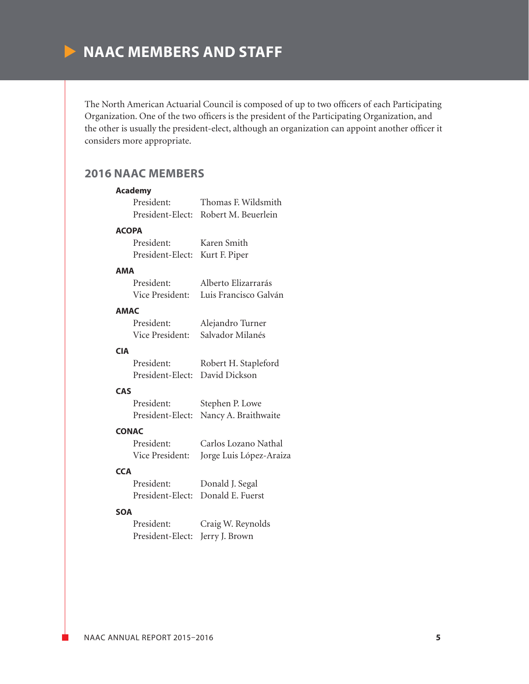

The North American Actuarial Council is composed of up to two officers of each Participating Organization. One of the two officers is the president of the Participating Organization, and the other is usually the president-elect, although an organization can appoint another officer it considers more appropriate.

# **2016 NAAC MEMBERS**

# **Academy** President: Thomas F. Wildsmith President-Elect: Robert M. Beuerlein **ACOPA** President: Karen Smith President-Elect: Kurt F. Piper **AMA** President: Alberto Elizarrarás Vice President: Luis Francisco Galván **AMAC** President: Alejandro Turner Vice President: Salvador Milanés **CIA** President: Robert H. Stapleford President-Elect: David Dickson **CAS** President: Stephen P. Lowe President-Elect: Nancy A. Braithwaite **CONAC** President: Carlos Lozano Nathal Vice President: Jorge Luis López-Araiza **CCA** President: Donald J. Segal President-Elect: Donald E. Fuerst

#### **SOA**

 President: Craig W. Reynolds President-Elect: Jerry J. Brown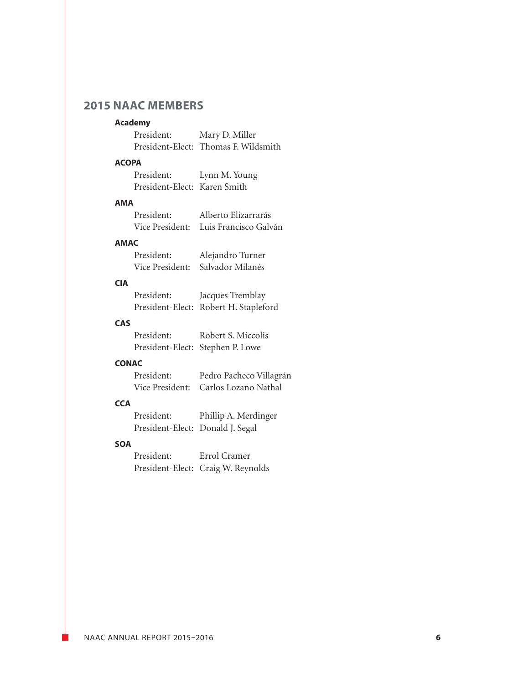# **2015 NAAC MEMBERS**

#### **Academy**

 President: Mary D. Miller President-Elect: Thomas F. Wildsmith

### **ACOPA**

| President:                   | Lynn M. Young |
|------------------------------|---------------|
| President-Elect: Karen Smith |               |

#### **AMA**

| President: | Alberto Elizarrarás                   |
|------------|---------------------------------------|
|            | Vice President: Luis Francisco Galván |

### **AMAC**

| President: | Alejandro Turner                 |
|------------|----------------------------------|
|            | Vice President: Salvador Milanés |

### **CIA**

| President: | Jacques Tremblay                      |
|------------|---------------------------------------|
|            | President-Elect: Robert H. Stapleford |

### **CAS**

| President: | Robert S. Miccolis               |
|------------|----------------------------------|
|            | President-Elect: Stephen P. Lowe |

### **CONAC**

| President: | Pedro Pacheco Villagrán              |
|------------|--------------------------------------|
|            | Vice President: Carlos Lozano Nathal |

### **CCA**

| President:                       | Phillip A. Merdinger |
|----------------------------------|----------------------|
| President-Elect: Donald J. Segal |                      |

### **SOA**

 President: Errol Cramer President-Elect: Craig W. Reynolds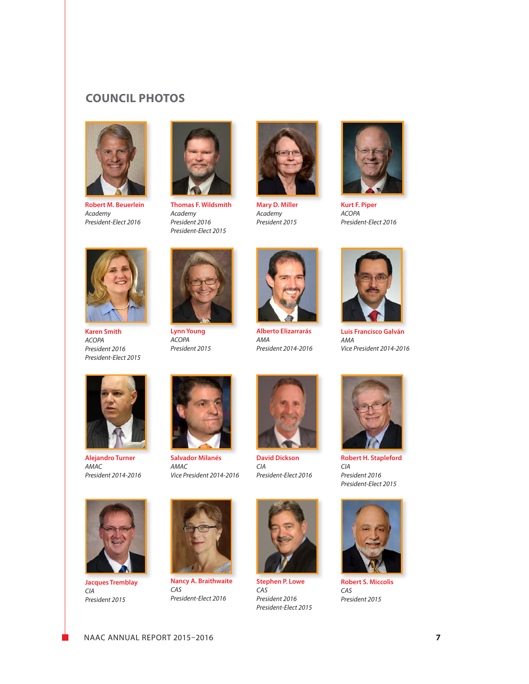# **COUNCIL PHOTOS**



**Robert M. Beuerlein** *Academy President-Elect 2016*



**Thomas F. Wildsmith** *Academy President 2016 President-Elect 2015*



**Mary D. Miller** *Academy President 2015*



**Kurt F. Piper** *ACOPA President-Elect 2016*



**Karen Smith** *ACOPA President 2016 President-Elect 2015*



**Lynn Young** *ACOPA President 2015*



**Alberto Elizarrarás** *AMA President 2014-2016*



**Luis Francisco Galván** *AMA Vice President 2014-2016*



**Alejandro Turner** *AMAC President 2014-2016*



**Salvador Milanés** *AMAC Vice President 2014-2016*



**David Dickson** *CIA President-Elect 2016*



*CIA President 2016*



**Robert S. Miccolis** *CAS President 2015*



**Jacques Tremblay** *CIA President 2015*



**Nancy A. Braithwaite** *CAS President-Elect 2016*



**Stephen P. Lowe** *CAS President 2016 President-Elect 2015*



*President-Elect 2015*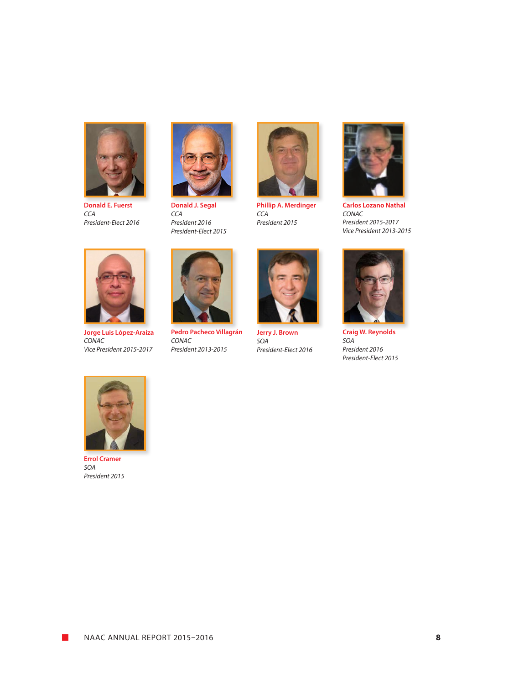

**Donald E. Fuerst** *CCA President-Elect 2016*



**Donald J. Segal** *CCA President 2016 President-Elect 2015*



**Phillip A. Merdinger** *CCA President 2015*



**Carlos Lozano Nathal** *CONAC President 2015-2017 Vice President 2013-2015*



**Jorge Luis López-Araiza** *CONAC Vice President 2015-2017*



**Pedro Pacheco Villagrán** *CONAC President 2013-2015*



**Jerry J. Brown** *SOA President-Elect 2016*



**Craig W. Reynolds** *SOA President 2016 President-Elect 2015*



**Errol Cramer** *SOA President 2015*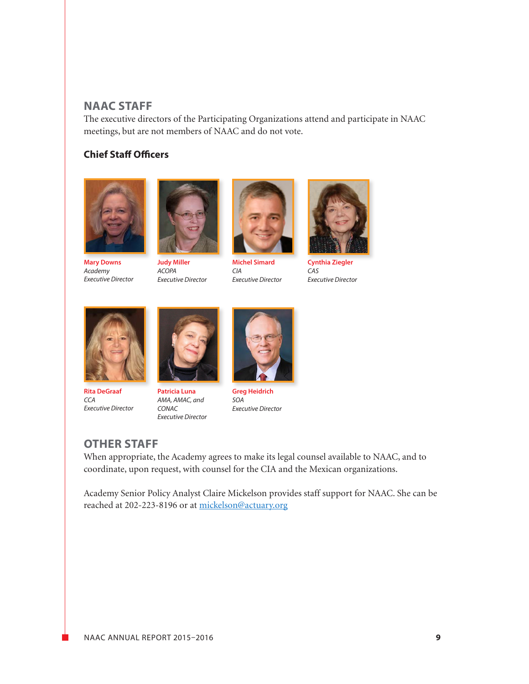# **NAAC STAFF**

The executive directors of the Participating Organizations attend and participate in NAAC meetings, but are not members of NAAC and do not vote.

# **Chief Staff Officers**



**Mary Downs** *Academy Executive Director*



**Judy Miller** *ACOPA Executive Director*



**Michel Simard** *CIA Executive Director*



**Cynthia Ziegler** *CAS Executive Director*



**Rita DeGraaf** *CCA Executive Director*



**Patricia Luna** *AMA, AMAC, and CONAC Executive Director*



**Greg Heidrich** *SOA Executive Director*

# **OTHER STAFF**

When appropriate, the Academy agrees to make its legal counsel available to NAAC, and to coordinate, upon request, with counsel for the CIA and the Mexican organizations.

Academy Senior Policy Analyst Claire Mickelson provides staff support for NAAC. She can be reached at 202-223-8196 or at mickelson@actuary.org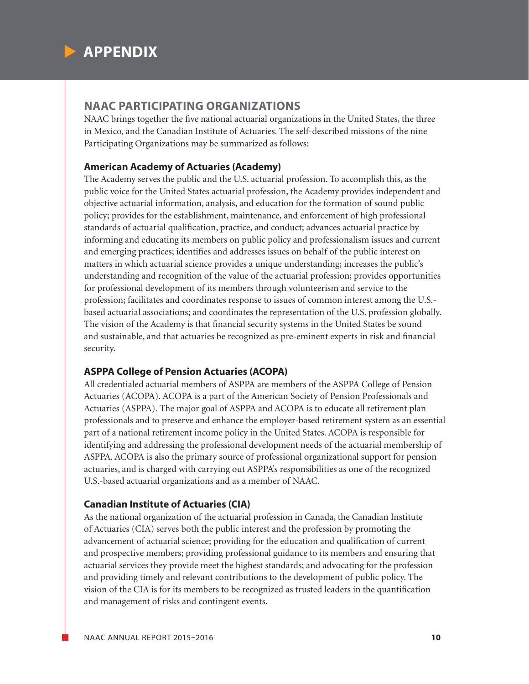

### **NAAC PARTICIPATING ORGANIZATIONS**

NAAC brings together the five national actuarial organizations in the United States, the three in Mexico, and the Canadian Institute of Actuaries. The self-described missions of the nine Participating Organizations may be summarized as follows:

### **American Academy of Actuaries (Academy)**

The Academy serves the public and the U.S. actuarial profession. To accomplish this, as the public voice for the United States actuarial profession, the Academy provides independent and objective actuarial information, analysis, and education for the formation of sound public policy; provides for the establishment, maintenance, and enforcement of high professional standards of actuarial qualification, practice, and conduct; advances actuarial practice by informing and educating its members on public policy and professionalism issues and current and emerging practices; identifies and addresses issues on behalf of the public interest on matters in which actuarial science provides a unique understanding; increases the public's understanding and recognition of the value of the actuarial profession; provides opportunities for professional development of its members through volunteerism and service to the profession; facilitates and coordinates response to issues of common interest among the U.S. based actuarial associations; and coordinates the representation of the U.S. profession globally. The vision of the Academy is that financial security systems in the United States be sound and sustainable, and that actuaries be recognized as pre-eminent experts in risk and financial security.

### **ASPPA College of Pension Actuaries (ACOPA)**

All credentialed actuarial members of ASPPA are members of the ASPPA College of Pension Actuaries (ACOPA). ACOPA is a part of the American Society of Pension Professionals and Actuaries (ASPPA). The major goal of ASPPA and ACOPA is to educate all retirement plan professionals and to preserve and enhance the employer-based retirement system as an essential part of a national retirement income policy in the United States. ACOPA is responsible for identifying and addressing the professional development needs of the actuarial membership of ASPPA. ACOPA is also the primary source of professional organizational support for pension actuaries, and is charged with carrying out ASPPA's responsibilities as one of the recognized U.S.-based actuarial organizations and as a member of NAAC.

### **Canadian Institute of Actuaries (CIA)**

As the national organization of the actuarial profession in Canada, the Canadian Institute of Actuaries (CIA) serves both the public interest and the profession by promoting the advancement of actuarial science; providing for the education and qualification of current and prospective members; providing professional guidance to its members and ensuring that actuarial services they provide meet the highest standards; and advocating for the profession and providing timely and relevant contributions to the development of public policy. The vision of the CIA is for its members to be recognized as trusted leaders in the quantification and management of risks and contingent events.